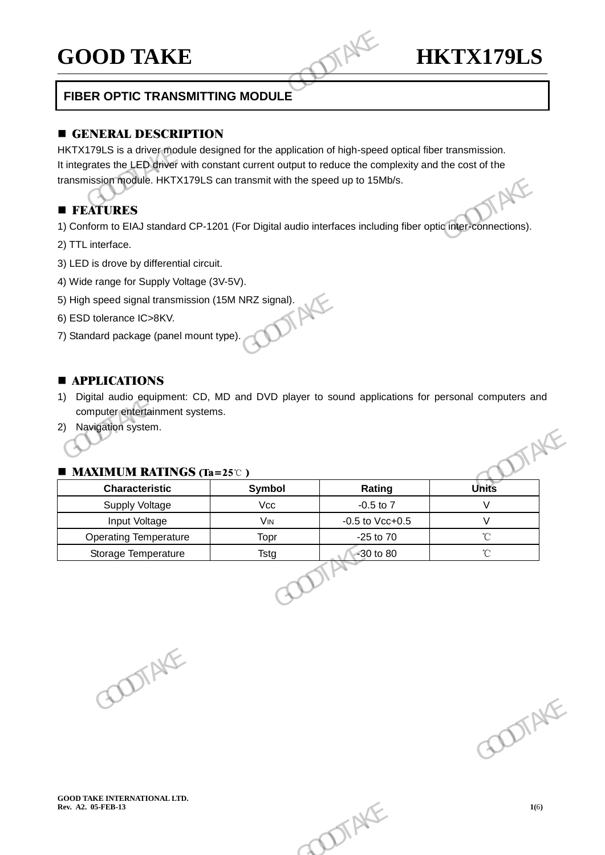# **GOOD TAKE HKTX179LS**

# **FIBER OPTIC TRANSMITTING MODULE**

# **EXERGE DESCRIPTION**

HKTX179LS is a driver module designed for the application of high-speed optical fiber transmission. It integrates the LED driver with constant current output to reduce the complexity and the cost of the transmission module. HKTX179LS can transmit with the speed up to 15Mb/s. **GOOD TAKE**<br>
FIBER OPTIC TRANSMITTING MODULE<br> **E GENERAL DESCRIPTION**<br>
HKTX179LS is a driver module designed for the application of high-speed<br>
It integrates the LED driver with constant current output to reduce the com<br>
t

# **EXTURES**

-

- 2) TTL interface.
- 3) LED is drove by differential circuit.
- 4) Wide range for Supply Voltage (3V-5V).
- 5) High speed signal transmission (15M NRZ signal).<br>
6) ESD tolerance IC>8KV.<br>
7) Standard package (panel ~
- 6) ESD tolerance IC>8KV.
- 7) Standard package (panel mount type).

# **E** APPLICATIONS

- 1) Digital audio equipment: CD, MD and DVD player to sound applications for personal computers and computer entertainment systems.
- 2) Navigation system.

# ■ MAXIMUM RATINGS (Ta=25℃)

| 4) Wide range for Supply Voltage (3V-5V).                           |                       |                      |                   |
|---------------------------------------------------------------------|-----------------------|----------------------|-------------------|
| 5) High speed signal transmission (15M NRZ signal).                 | TENT                  |                      |                   |
| 6) ESD tolerance IC>8KV.<br>7) Standard package (panel mount type). |                       |                      |                   |
|                                                                     |                       |                      |                   |
| computer entertainment systems.<br>Navigation system.<br>2)         |                       |                      |                   |
| $\blacksquare$ MAXIMUM RATINGS (Ta=25°C)<br><b>Characteristic</b>   |                       | Rating               | <b>Units</b>      |
| Supply Voltage                                                      | <b>Symbol</b><br>Vcc  | $-0.5$ to $7$        | $\mathsf{V}$      |
| Input Voltage                                                       | <b>V<sub>IN</sub></b> | $-0.5$ to Vcc $+0.5$ | V                 |
| <b>Operating Temperature</b>                                        | Topr                  | -25 to 70            | $^\circ\!{\rm C}$ |
| Storage Temperature                                                 | Tstg                  | $-30$ to 80          | $^\circ\!{\rm C}$ |

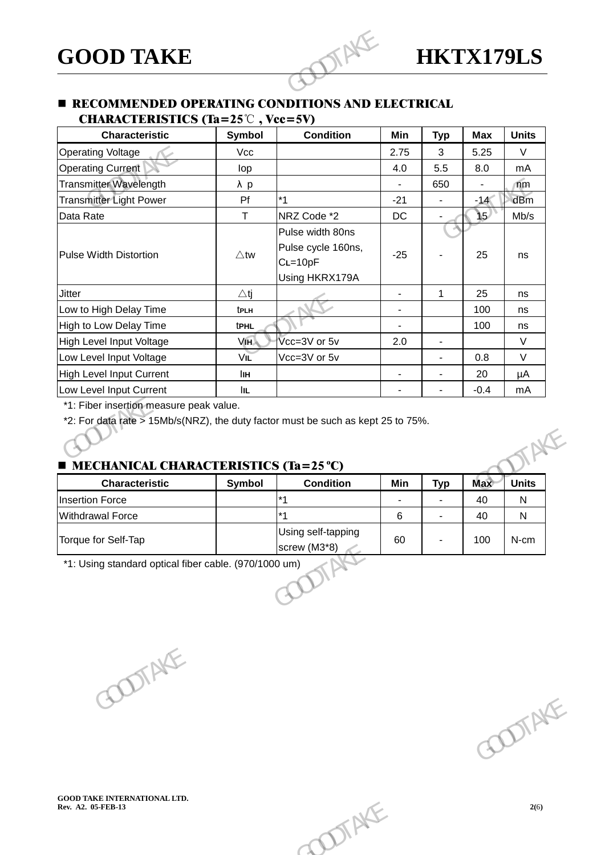# **E RECOMMENDED OPERATING CONDITIONS AND ELECTRICAL** CHARACTERISTICS (Ta= $25^{\circ}$ ). Vcc=5V)

| <b>GOOD TAKE</b>                                                                                                                                                                    |                |                                                                       |                | <b>HKTX179LS</b> |            |              |
|-------------------------------------------------------------------------------------------------------------------------------------------------------------------------------------|----------------|-----------------------------------------------------------------------|----------------|------------------|------------|--------------|
| <b>E RECOMMENDED OPERATING CONDITIONS AND ELECTRICAL</b><br><b>CHARACTERISTICS (Ta=25 °C), Vcc=5V)</b>                                                                              |                |                                                                       |                |                  |            |              |
| <b>Characteristic</b>                                                                                                                                                               | Symbol         | <b>Condition</b>                                                      | Min            | <b>Typ</b>       | <b>Max</b> | <b>Units</b> |
| <b>Operating Voltage</b>                                                                                                                                                            | <b>Vcc</b>     |                                                                       | 2.75           | 3                | 5.25       | $\vee$       |
| <b>Operating Current</b>                                                                                                                                                            | lop            |                                                                       | 4.0            | 5.5              | 8.0        | mA           |
| Transmitter Wavelength                                                                                                                                                              | $\lambda$ p    |                                                                       |                | 650              |            | $\not$ nm    |
| Transmitter Light Power                                                                                                                                                             | Pf             | $*1$                                                                  | $-21$          |                  | $-14<$     | dBm          |
| Data Rate                                                                                                                                                                           | T              | NRZ Code *2                                                           | <b>DC</b>      |                  | ነ5)        | Mb/s         |
| <b>Pulse Width Distortion</b>                                                                                                                                                       | $\triangle$ tw | Pulse width 80ns<br>Pulse cycle 160ns,<br>$CL=10pF$<br>Using HKRX179A | $-25$          |                  | 25         | ns           |
| <b>Jitter</b>                                                                                                                                                                       | $\triangle$ tj |                                                                       | $\blacksquare$ | $\mathbf{1}$     | 25         | ns           |
| Low to High Delay Time                                                                                                                                                              | tPLH           |                                                                       | $\blacksquare$ |                  | 100        | ns           |
| High to Low Delay Time                                                                                                                                                              | tPHL           |                                                                       |                |                  | 100        | ns           |
| High Level Input Voltage                                                                                                                                                            | VIH            | Vcc=3V or 5v                                                          | 2.0            | $\blacksquare$   |            | $\vee$       |
| Low Level Input Voltage                                                                                                                                                             | VIL            | Vcc=3V or 5v                                                          |                |                  | 0.8        | $\vee$       |
| <b>High Level Input Current</b>                                                                                                                                                     | lін            |                                                                       | $\blacksquare$ |                  | 20         | μA           |
| Low Level Input Current                                                                                                                                                             | <b>IIL</b>     |                                                                       |                |                  | $-0.4$     | mA           |
| *1: Fiber insertion measure peak value.<br>*2: For data rate > 15Mb/s(NRZ), the duty factor must be such as kept 25 to 75%.<br>$\blacksquare$ MECHANICAL CHARACTERISTICS (Ta=25 °C) |                |                                                                       |                |                  |            |              |
| <b>Characteristic</b>                                                                                                                                                               | Symbol         | <b>Condition</b>                                                      | Min            | <b>Typ</b>       | <b>Max</b> | <b>Units</b> |
| <b>Insertion Force</b>                                                                                                                                                              |                | $*1$                                                                  |                |                  | 40         | N            |
|                                                                                                                                                                                     |                |                                                                       |                |                  |            |              |

# **MECHANICAL CHARACTERISTICS (Ta=25 °C)**

| <b>Characteristic</b>   | Symbol | <b>Condition</b>                   | Min             | <b>Typ</b> | <b>Max</b> | <b>Units</b> |
|-------------------------|--------|------------------------------------|-----------------|------------|------------|--------------|
| <b>Insertion Force</b>  |        | $*1$                               |                 | ۰          | 40         | N            |
| <b>Withdrawal Force</b> |        | $*1$                               | $6\phantom{1}6$ | ۰          | 40         | N            |
| Torque for Self-Tap     |        | Using self-tapping<br>screw (M3*8) | 60              |            | 100        | N-cm         |
|                         |        |                                    |                 |            |            |              |
|                         |        |                                    |                 |            |            |              |
|                         |        |                                    |                 |            |            |              |

GOODTAKE GOODTAKE GOODTAKE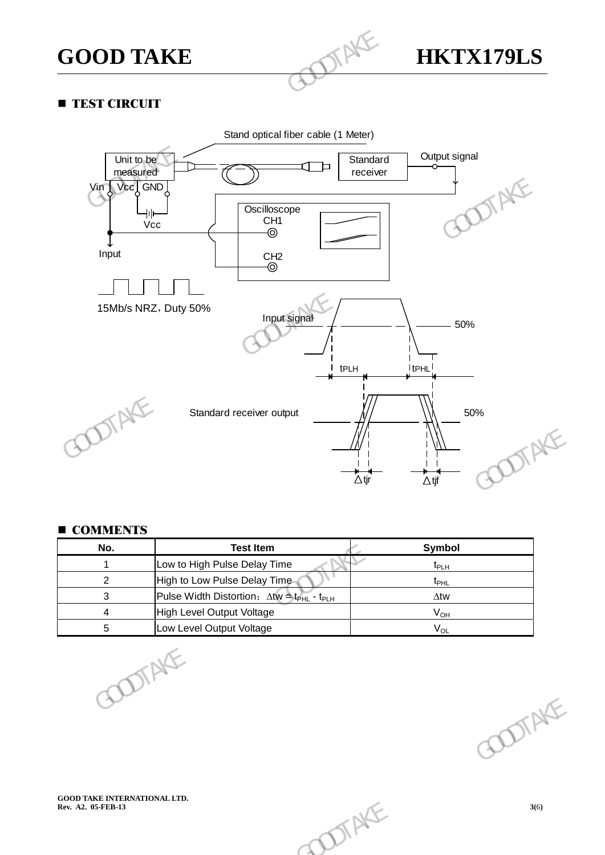

# **TEST CIRCUIT**

-



# **COMMENTS**

| ヽ)≻゛                                                      | $\Delta$ tjr                                                                        | $\Delta$ tjf       | DEAKE  |
|-----------------------------------------------------------|-------------------------------------------------------------------------------------|--------------------|--------|
| ■ COMMENTS                                                |                                                                                     |                    |        |
| No.                                                       | <b>Test Item</b>                                                                    | Symbol             |        |
| $\mathbf{1}$                                              | Low to High Pulse Delay Time                                                        | $t_{\mathsf{PLH}}$ |        |
| $\overline{2}$                                            | High to Low Pulse Delay Time                                                        | $t_{\text{PHL}}$   |        |
| 3                                                         | Pulse Width Distortion; $\Delta t \mathsf{w} = t_{\mathsf{PHL}} - t_{\mathsf{PLH}}$ | $\Delta$ tw        |        |
| $\overline{\mathbf{4}}$                                   | High Level Output Voltage                                                           | $V_{OH}$           |        |
| 5                                                         | Low Level Output Voltage                                                            | $V_{OL}$           |        |
|                                                           | OTAKE                                                                               |                    | ODEAKE |
| <b>GOOD TAKE INTERNATIONAL LTD.</b><br>Rev. A2. 05-FEB-13 | DTAKE                                                                               |                    | 3(6)   |
|                                                           |                                                                                     |                    |        |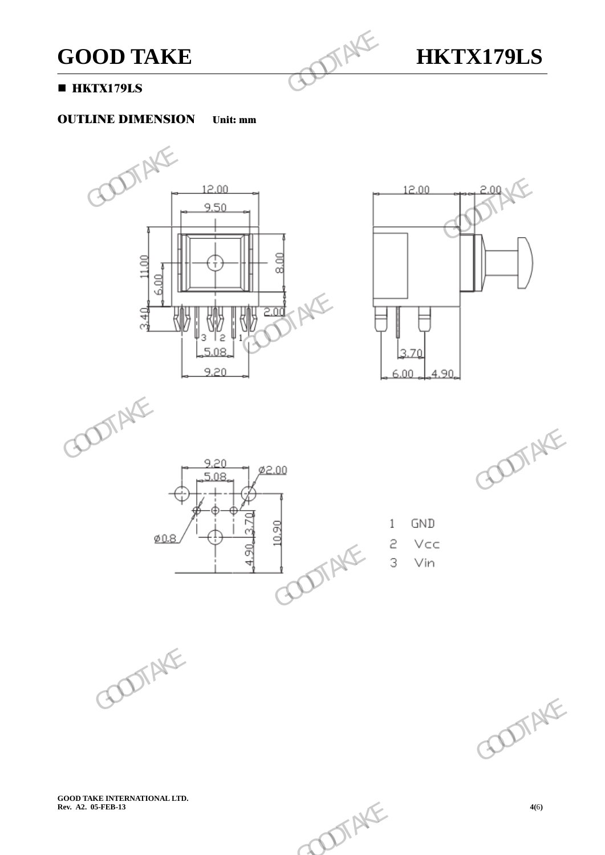

# **HKTX179LS**

-

# OUTLINE DIMENSION Unit: mm









| 1 | GND |
|---|-----|
| 2 | Vcc |
| З | Vin |





**GOOD TAKE INTERNATIONAL LTD.**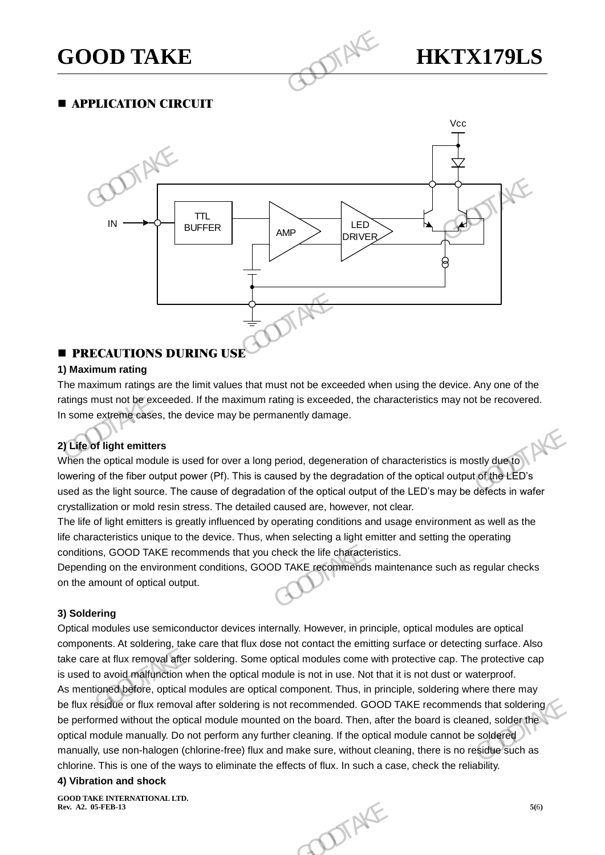-



**E APPLICATION CIRCUIT** 



# **PRECAUTIONS DURING USE**

# **1) Maximum rating**

The maximum ratings are the limit values that must not be exceeded when using the device. Any one of the ratings must not be exceeded. If the maximum rating is exceeded, the characteristics may not be recovered. In some extreme cases, the device may be permanently damage.

# **2) Life of light emitters**

When the optical module is used for over a long period, degeneration of characteristics is mostly due to lowering of the fiber output power (Pf). This is caused by the degradation of the optical output of the LED's used as the light source. The cause of degradation of the optical output of the LED's may be defects in wafer crystallization or mold resin stress. The detailed caused are, however, not clear.

The life of light emitters is greatly influenced by operating conditions and usage environment as well as the life characteristics unique to the device. Thus, when selecting a light emitter and setting the operating conditions, GOOD TAKE recommends that you check the life characteristics.

Depending on the environment conditions, GOOD TAKE recommends maintenance such as regular checks on the amount of optical output.

# **3) Soldering**

Optical modules use semiconductor devices internally. However, in principle, optical modules are optical components. At soldering, take care that flux dose not contact the emitting surface or detecting surface. Also take care at flux removal after soldering. Some optical modules come with protective cap. The protective cap is used to avoid malfunction when the optical module is not in use. Not that it is not dust or waterproof. As mentioned before, optical modules are optical component. Thus, in principle, soldering where there may be flux residue or flux removal after soldering is not recommended. GOOD TAKE recommends that soldering be performed without the optical module mounted on the board. Then, after the board is cleaned, solder the optical module manually. Do not perform any further cleaning. If the optical module cannot be soldered manually, use non-halogen (chlorine-free) flux and make sure, without cleaning, there is no residue such as chlorine. This is one of the ways to eliminate the effects of flux. In such a case, check the reliability. **Solution and the set of the set of the set of the set of the set of the set of the set of the fight end in set of the fight source. The detailed caused by the degradation of the optical output of the LED's the light sourc** devices internally. However, in principle, optical modules are optical<br>that flux dose not contact the emitting surface or detecting surface. Also<br>ring. Some optical modules come with protective cap. The protective cap<br>ne o

# **4) Vibration and shock**

**GOOD TAKE INTERNATIONAL LTD.**